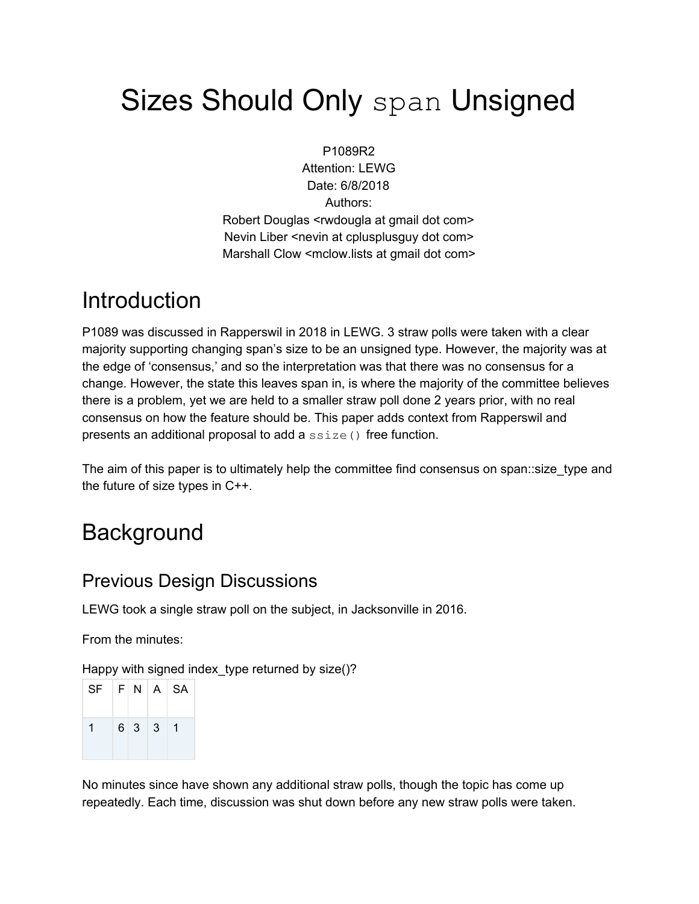# Sizes Should Only span Unsigned

P1089R2 Attention: LEWG Date: 6/8/2018 Authors: Robert Douglas <rwdougla at gmail dot com> Nevin Liber <nevin at cplusplusguy dot com> Marshall Clow <mclow.lists at gmail dot com>

## **Introduction**

P1089 was discussed in Rapperswil in 2018 in LEWG. 3 straw polls were taken with a clear majority supporting changing span's size to be an unsigned type. However, the majority was at the edge of 'consensus,' and so the interpretation was that there was no consensus for a change. However, the state this leaves span in, is where the majority of the committee believes there is a problem, yet we are held to a smaller straw poll done 2 years prior, with no real consensus on how the feature should be. This paper adds context from Rapperswil and presents an additional proposal to add a ssize() free function.

The aim of this paper is to ultimately help the committee find consensus on span::size\_type and the future of size types in C++.

## **Background**

### Previous Design Discussions

LEWG took a single straw poll on the subject, in Jacksonville in 2016.

From the minutes:

Happy with signed index\_type returned by size()?

| $SF$ $F N$ $A$ $SA$ |       |    |
|---------------------|-------|----|
| 1                   | 6 3 3 | -1 |

No minutes since have shown any additional straw polls, though the topic has come up repeatedly. Each time, discussion was shut down before any new straw polls were taken.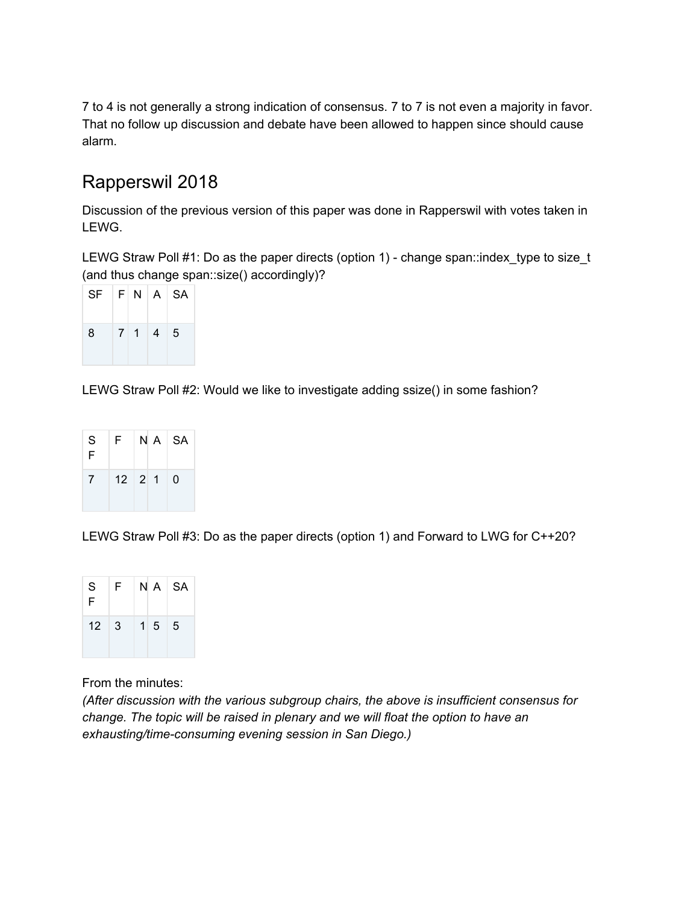7 to 4 is not generally a strong indication of consensus. 7 to 7 is not even a majority in favor. That no follow up discussion and debate have been allowed to happen since should cause alarm.

### Rapperswil 2018

Discussion of the previous version of this paper was done in Rapperswil with votes taken in LEWG.

LEWG Straw Poll #1: Do as the paper directs (option 1) - change span::index\_type to size\_t (and thus change span::size() accordingly)?

| $SF$ $F$ $N$ $A$ $SA$ |  |         |  |
|-----------------------|--|---------|--|
| 8                     |  | 7 1 4 5 |  |

LEWG Straw Poll #2: Would we like to investigate adding ssize() in some fashion?

| S<br>F          | F. | $N A$   SA         |          |
|-----------------|----|--------------------|----------|
| $7\overline{ }$ |    | $12 \mid 2 \mid 1$ | $\Omega$ |

LEWG Straw Poll #3: Do as the paper directs (option 1) and Forward to LWG for C++20?

| S<br>F      | F. |                 | N A SA |
|-------------|----|-----------------|--------|
| $12 \mid 3$ |    | $1\overline{5}$ | 5      |

From the minutes:

*(After discussion with the various subgroup chairs, the above is insufficient consensus for change. The topic will be raised in plenary and we will float the option to have an exhausting/time-consuming evening session in San Diego.)*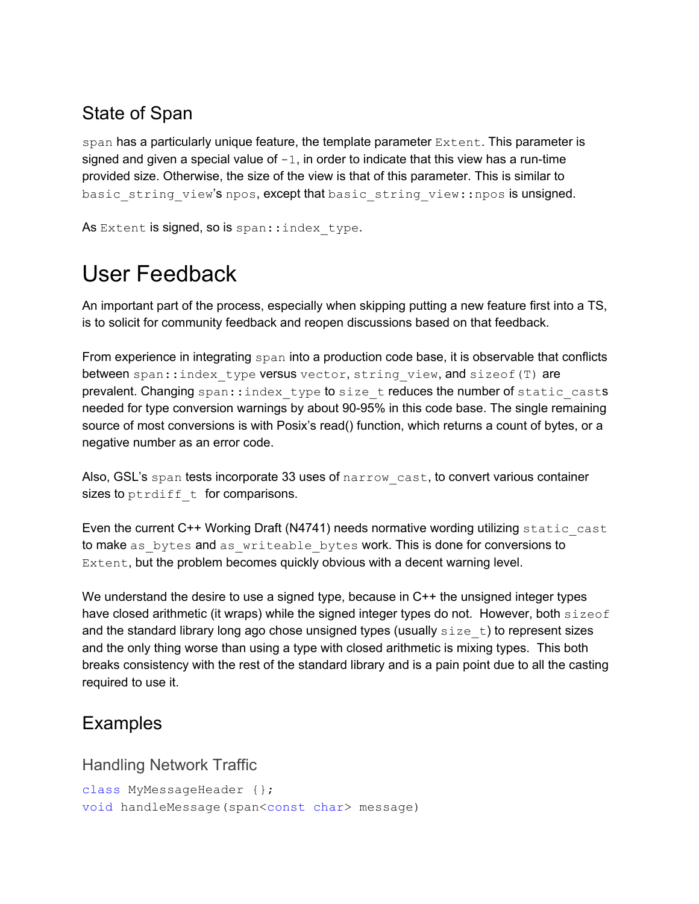### State of Span

span has a particularly unique feature, the template parameter  $\text{Extent.}$  This parameter is signed and given a special value of  $-1$ , in order to indicate that this view has a run-time provided size. Otherwise, the size of the view is that of this parameter. This is similar to basic string view's npos, except that basic string view::npos is unsigned.

As Extent is signed, so is span:: index type.

## User Feedback

An important part of the process, especially when skipping putting a new feature first into a TS, is to solicit for community feedback and reopen discussions based on that feedback.

From experience in integrating span into a production code base, it is observable that conflicts between span::index type versus vector, string view, and sizeof(T) are prevalent. Changing span::index type to size t reduces the number of static casts needed for type conversion warnings by about 90-95% in this code base. The single remaining source of most conversions is with Posix's read() function, which returns a count of bytes, or a negative number as an error code.

Also, GSL's span tests incorporate 33 uses of narrow cast, to convert various container sizes to ptrdiff  $t$  for comparisons.

Even the current C++ Working Draft (N4741) needs normative wording utilizing static cast to make as bytes and as writeable bytes work. This is done for conversions to Extent, but the problem becomes quickly obvious with a decent warning level.

We understand the desire to use a signed type, because in C++ the unsigned integer types have closed arithmetic (it wraps) while the signed integer types do not. However, both  $size of$ and the standard library long ago chose unsigned types (usually  $size t$ ) to represent sizes and the only thing worse than using a type with closed arithmetic is mixing types. This both breaks consistency with the rest of the standard library and is a pain point due to all the casting required to use it.

### Examples

Handling Network Traffic

```
class MyMessageHeader {};
void handleMessage(span<const char> message)
```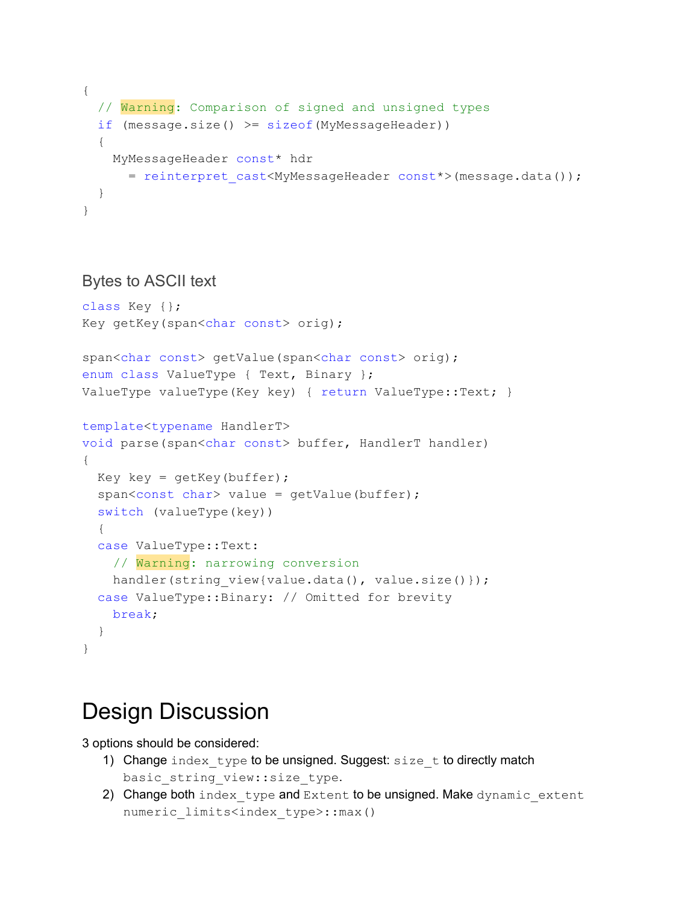```
{
 // Warning: Comparison of signed and unsigned types
 if (message.size() >= sizeof(MyMessageHeader))
 {
   MyMessageHeader const* hdr
     = reinterpret cast<MyMessageHeader const*>(message.data());
 }
}
```
#### Bytes to ASCII text

```
class Key {};
Key getKey(span<char const> orig);
span<char const> getValue(span<char const> orig);
enum class ValueType { Text, Binary };
ValueType valueType(Key key) { return ValueType::Text; }
template<typename HandlerT>
void parse(span<char const> buffer, HandlerT handler)
{
 Key key = qetKey(buffer);
  span<const char> value = getValue(buffer);
  switch (valueType(key))
  {
  case ValueType::Text:
   // Warning: narrowing conversion
   handler(string view{value.data(), value.size()});
  case ValueType::Binary: // Omitted for brevity
   break;
  }
}
```
## Design Discussion

3 options should be considered:

- 1) Change index type to be unsigned. Suggest: size  $t$  to directly match basic\_string\_view::size\_type.
- 2) Change both index type and Extent to be unsigned. Make dynamic extent numeric limits<index type>::max()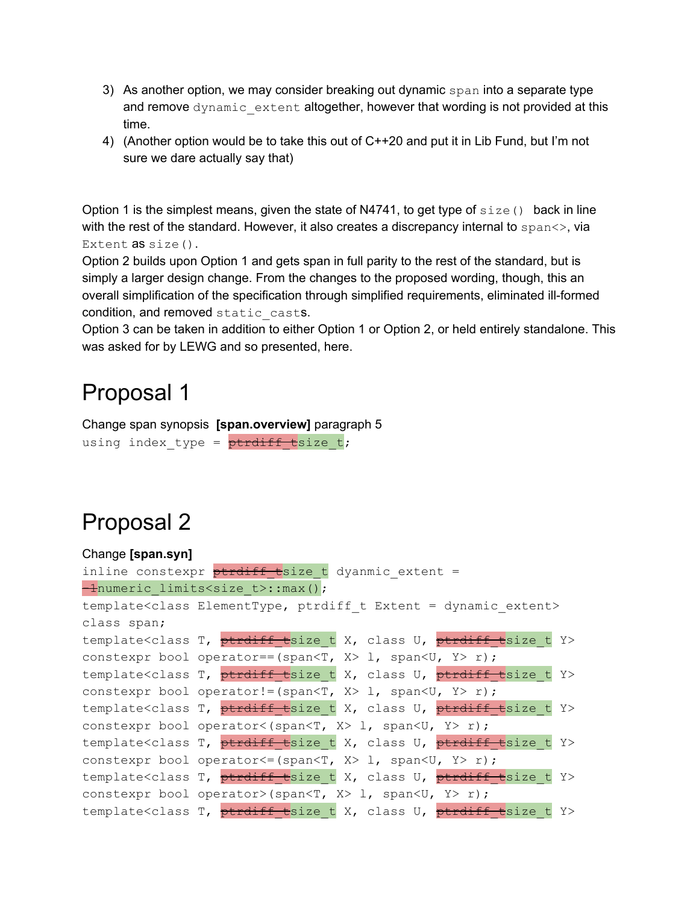- 3) As another option, we may consider breaking out dynamic span into a separate type and remove dynamic extent altogether, however that wording is not provided at this time.
- 4) (Another option would be to take this out of C++20 and put it in Lib Fund, but I'm not sure we dare actually say that)

Option 1 is the simplest means, given the state of N4741, to get type of  $size()$  back in line with the rest of the standard. However, it also creates a discrepancy internal to  $\text{span}\langle\cdot\rangle$ , via Extent **as** size().

Option 2 builds upon Option 1 and gets span in full parity to the rest of the standard, but is simply a larger design change. From the changes to the proposed wording, though, this an overall simplification of the specification through simplified requirements, eliminated ill-formed condition, and removed static casts.

Option 3 can be taken in addition to either Option 1 or Option 2, or held entirely standalone. This was asked for by LEWG and so presented, here.

### Proposal 1

Change span synopsis **[span.overview]** paragraph 5 using index type =  $\frac{\text{p} t}{\text{p} t}$ th  $\frac{\text{p}}{\text{p} t}$ size t;

## Proposal 2

| Change [span.syn] |                                                                                               |
|-------------------|-----------------------------------------------------------------------------------------------|
|                   | inline constexpr <b>ptrdiff</b> tsize t dyanmic extent =                                      |
|                   | -inumeric limits <size t="">::max();</size>                                                   |
|                   | template <class elementtype,="" extent="" ptrdiff="" t=""></class>                            |
| class span;       |                                                                                               |
|                   | template <class class="" ptrdiff="" t="" t,="" tsize="" u,="" x,="" y=""></class>             |
|                   | constexpr bool operator == (span <t, <math="">X &gt; 1, span<u, <math="">Y &gt; r);</u,></t,> |
|                   | template <class class="" ptrdiff="" t="" t,="" tsize="" u,="" x,="" y=""></class>             |
|                   | constexpr bool operator!=(span <t, <math="">X &gt; 1, span<u, <math="">Y &gt; r);</u,></t,>   |
|                   | template <class class="" ptrdiff="" t="" t,="" tsize="" u,="" x,="" y=""></class>             |
|                   | constexpr bool operator< (span <t, x=""> 1, span<u, y=""> r);</u,></t,>                       |
|                   | template <class class="" ptrdiff="" t="" t,="" tsize="" u,="" x,="" y=""></class>             |
|                   | constexpr bool operator <= (span <t, x=""> 1, span<u, y=""> r);</u,></t,>                     |
|                   | template <class class="" ptrdiff="" t="" t,="" tsize="" u,="" x,="" y=""></class>             |
|                   | constexpr bool operator>(span <t, x=""> 1, span<u, y=""> r);</u,></t,>                        |
|                   | template <class class="" ptrdiff="" t="" t,="" tsize="" u,="" x,="" y=""></class>             |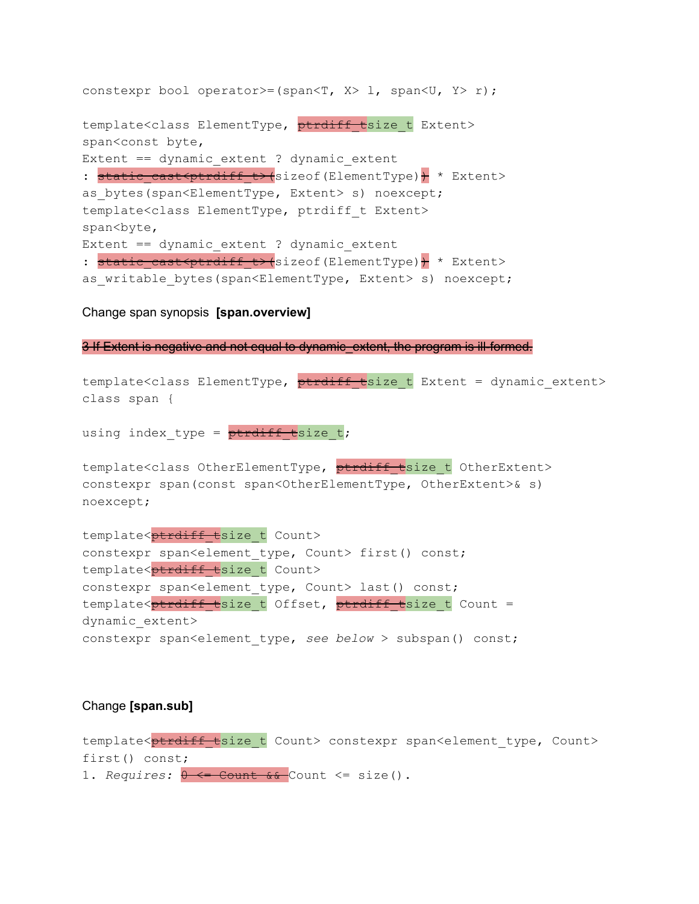```
constexpr bool operator>=(span<T, X> l, span<U, Y> r);
template<class ElementType, ptrdiff tsize t Extent>
span<const byte,
Extent == dynamic extent ? dynamic extent
: static cast<ptrdiff t>(sizeof(ElementType)) * Extent>
as bytes(span<ElementType, Extent> s) noexcept;
template<class ElementType, ptrdiff_t Extent>
span<br/>byte,
Extent == dynamic extent ? dynamic extent
: static cast<ptrdiff t>(sizeof(ElementType)) * Extent>
as writable bytes(span<ElementType, Extent> s) noexcept;
```
Change span synopsis **[span.overview]**

3 If Extent is negative and not equal to dynamic extent, the program is ill-formed.

```
template<class ElementType, ptrdiff tsize t Extent = dynamic extent>
class span {
using index type = \frac{\text{ptrdiff}}{\text{t}}size t;
template<class OtherElementType, ptrdiff tsize t OtherExtent>
constexpr span(const span<OtherElementType, OtherExtent>& s)
noexcept;
template<ptrdiff tsize t Count>
constexpr span<element type, Count> first() const;
template<br />
btemplate<br />
b<br />
t Count>
constexpr span<element type, Count> last() const;
template<ptrdiff tsize t Offset, ptrdiff tsize t Count =
dynamic_extent>
constexpr span<element_type, see below > subspan() const;
```
#### Change **[span.sub]**

template<ptrdiff tsize t Count> constexpr span<element type, Count> first() const; 1. *Requires:*  $0 \leq C$  Count  $6 \leq C$  Count  $\leq$  size().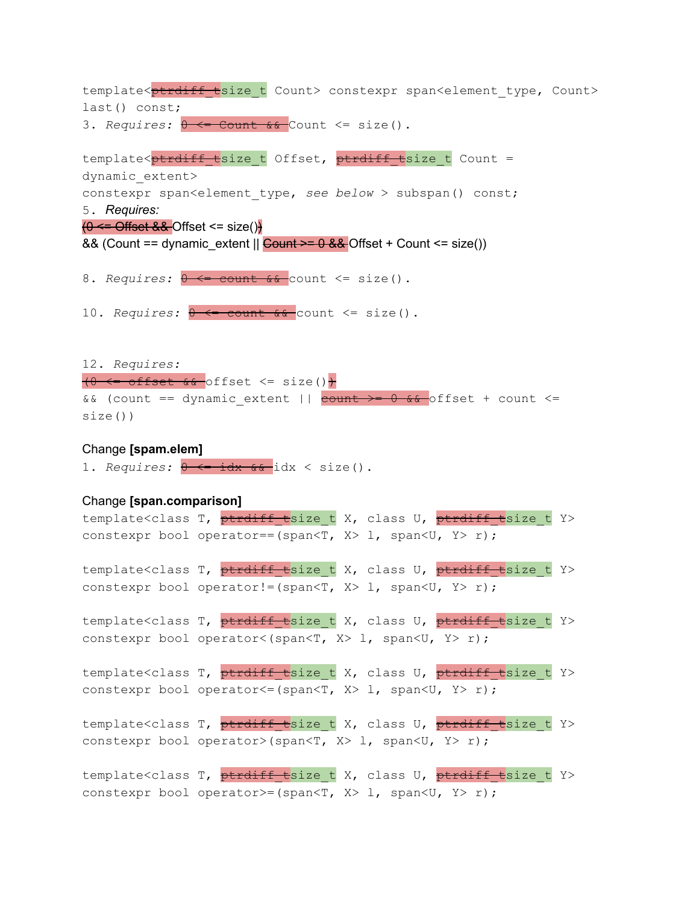template< $p$ trdiff tsize t Count> constexpr span<element type, Count> last() const; 3. Requires:  $\theta \leftarrow$  Count & Count <= size(). template<ptrdiff tsize t Offset, ptrdiff tsize t Count = dynamic\_extent> constexpr span<element\_type, *see below* > subspan() const; 5. *Requires:*  $(0 \leq$  Offset && Offset  $\leq$  size() && (Count == dynamic\_extent  $\parallel$  Count >= 0 && Offset + Count <= size()) 8. *Requires:*  $0 \le \text{count } 6 \le \text{count} \le \text{size}$ . 10. *Requires:*  $\theta \leftarrow \text{count} \& \text{count} \leftarrow \text{size}()$ . 12. *Requires:*  $(0 \leq \text{offset} \ \& \text{offset} \leq \text{size}()$ && (count == dynamic\_extent ||  $\frac{count}{x} = 0$  && offset + count <= size()) Change **[spam.elem]** 1. *Requires:*  $0 \leftarrow \text{idx}$  & idx < size(). Change **[span.comparison]** template<class T, ptrdiff tsize t X, class U, ptrdiff tsize t Y> constexpr bool operator==(span<T,  $X > 1$ , span<U,  $Y > r$ ); template<class T, ptrdiff tsize t X, class U, ptrdiff tsize t Y> constexpr bool operator!=(span<T,  $X > 1$ , span<U,  $Y > r$ ); template<class T, ptrdiff tsize t X, class U, ptrdiff tsize t Y> constexpr bool operator<(span<T, X> 1, span<U, Y> r); template<class T, ptrdiff tsize t X, class U, ptrdiff tsize t Y> constexpr bool operator <= (span<T,  $X$ > 1, span<U,  $Y$  > r); template<class T, ptrdiff tsize t X, class U, ptrdiff tsize t Y> constexpr bool operator>(span<T, X> 1, span<U, Y> r); template<class T, ptrdiff tsize t X, class U, ptrdiff tsize t Y> constexpr bool operator>=(span<T,  $X> 1$ , span<U,  $Y> r$ );